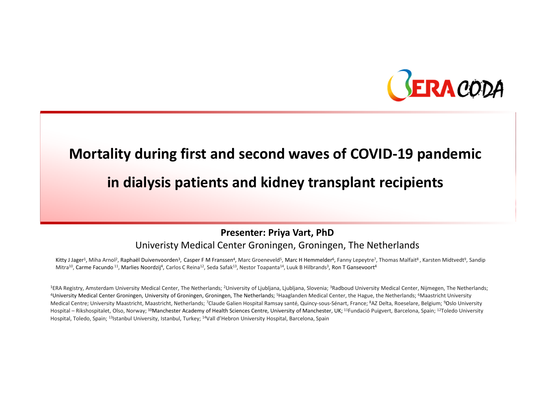

# Mortality during first and second waves of COVID-19 pandemic

### in dialysis patients and kidney transplant recipients

Presenter: Priya Vart, PhD

Univeristy Medical Center Groningen, Groningen, The Netherlands

Kitty J Jager<sup>1</sup>, Miha Arnol<sup>2</sup>, Raphaël Duivenvoorden<sup>3</sup>, Casper F M Franssen<sup>4</sup>, Marc Groeneveld<sup>5</sup>, Marc H Hemmelder<sup>6</sup>, Fanny Lepeytre<sup>7</sup>, Thomas Malfait<sup>8</sup>, Karsten Midtvedt<sup>9</sup>, Sandip Mitra<sup>10</sup>, Carme Facundo <sup>11</sup>, Marlies Noordzij<sup>4</sup>, Carlos C Reina<sup>12</sup>, Seda Safak<sup>13</sup>, Nestor Toapanta<sup>14</sup>, Luuk B Hilbrands<sup>3</sup>, Ron T Gansevoort<sup>4</sup>

<sup>1</sup>ERA Registry, Amsterdam University Medical Center, The Netherlands; <sup>2</sup>University of Ljubljana, Ljubljana, Slovenia; <sup>3</sup>Radboud University Medical Center, Nijmegen, The Netherlands; <sup>4</sup>University Medical Center Groningen, University of Groningen, Groningen, The Netherlands; <sup>5</sup>Haaglanden Medical Center, the Hague, the Netherlands; <sup>6</sup>Maastricht University Medical Centre; University Maastricht, Maastricht, Netherlands; 7Claude Galien Hospital Ramsay santé, Quincy-sous-Sénart, France; 8AZ Delta, Roeselare, Belgium; 9Oslo University Hospital – Rikshospitalet, Olso, Norway; <sup>10</sup>Manchester Academy of Health Sciences Centre, University of Manchester, UK; <sup>11</sup>Fundació Puigvert, Barcelona, Spain; <sup>12</sup>Toledo University Hospital, Toledo, Spain; <sup>13</sup>Istanbul University, Istanbul, Turkey; <sup>14</sup>Vall d'Hebron University Hospital, Barcelona, Spain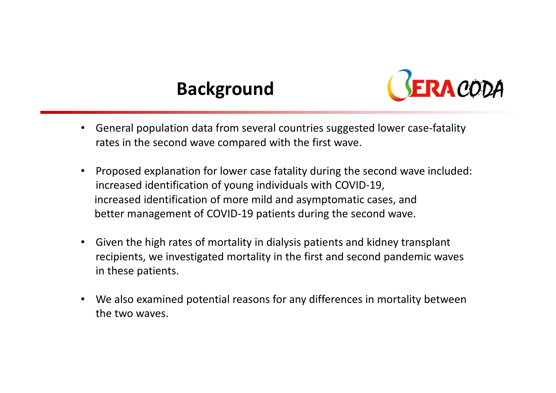# Background



- • General population data from several countries suggested lower case-fatality rates in the second wave compared with the first wave.
- • Proposed explanation for lower case fatality during the second wave included: increased identification of young individuals with COVID-19, increased identification of more mild and asymptomatic cases, and better management of COVID-19 patients during the second wave.
- • Given the high rates of mortality in dialysis patients and kidney transplant recipients, we investigated mortality in the first and second pandemic waves in these patients.
- We also examined potential reasons for any differences in mortality between the two waves.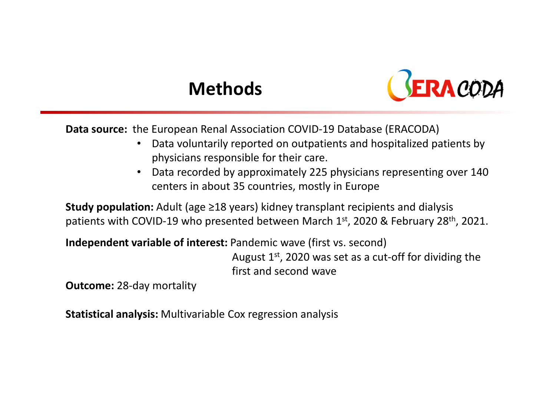# Methods



Data source: the European Renal Association COVID-19 Database (ERACODA)

- $\bullet$  Data voluntarily reported on outpatients and hospitalized patients by physicians responsible for their care.
- • Data recorded by approximately 225 physicians representing over 140 centers in about 35 countries, mostly in Europe

Study population: Adult (age ≥18 years) kidney transplant recipients and dialysis patients with COVID-19 who presented between March 1st, 2020 & February 28<sup>th</sup>, 2021.

Independent variable of interest: Pandemic wave (first vs. second)

August  $1<sup>st</sup>$ , 2020 was set as a cut-off for dividing the first and second wave

Outcome: 28-day mortality

Statistical analysis: Multivariable Cox regression analysis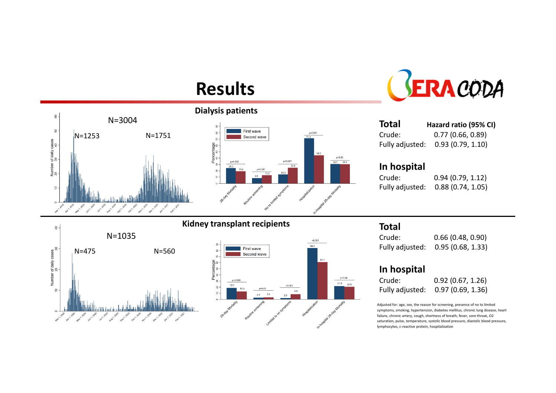### Results





| <b>Total</b>    | Hazard ratio (95% CI) |
|-----------------|-----------------------|
| Crude:          | 0.77(0.66, 0.89)      |
| Fully adjusted: | 0.93(0.79, 1.10)      |

#### In hospital

Crude: 0.94 (0.79, 1.12)

 $0.88 (0.74, 1.05)$ 





### Total

Crude:  $0.66$  (0.48, 0.90) Fully adjusted: 0.95 (0.68, 1.33)

#### In hospital

| Crude:          | 0.92(0.67, 1.26) |
|-----------------|------------------|
| Fully adjusted: | 0.97(0.69, 1.36) |

Adjusted for: age, sex, the reason for screening, presence of no to limited symptoms, smoking, hypertension, diabetes mellitus, chronic lung disease, heart failure, chronic artery, cough, shortness of breath, fever, sore throat, O2 saturation, pulse, temperature, systolic blood pressure, diastolic blood pressure, lymphocytes, c-reactive protein, hospitalization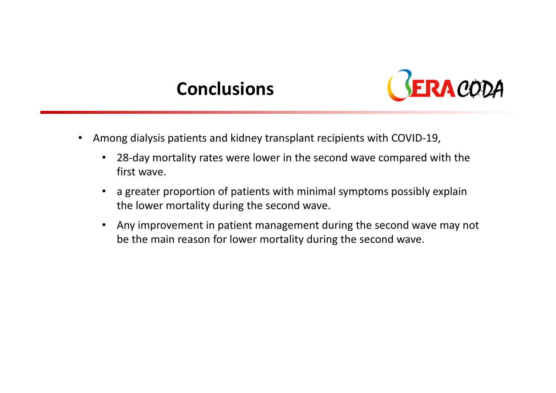### **Conclusions**



- • Among dialysis patients and kidney transplant recipients with COVID-19,
	- • 28-day mortality rates were lower in the second wave compared with the first wave.
	- $\bullet$  a greater proportion of patients with minimal symptoms possibly explain the lower mortality during the second wave.
	- $\bullet$  Any improvement in patient management during the second wave may not be the main reason for lower mortality during the second wave.